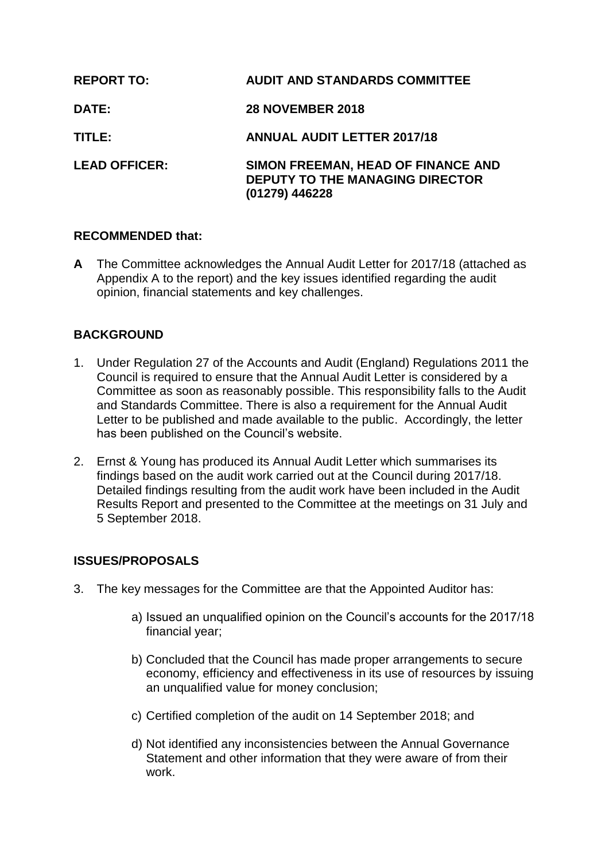| <b>REPORT TO:</b>    | <b>AUDIT AND STANDARDS COMMITTEE</b>                                                           |
|----------------------|------------------------------------------------------------------------------------------------|
| <b>DATE:</b>         | <b>28 NOVEMBER 2018</b>                                                                        |
| TITLE:               | <b>ANNUAL AUDIT LETTER 2017/18</b>                                                             |
| <b>LEAD OFFICER:</b> | SIMON FREEMAN, HEAD OF FINANCE AND<br><b>DEPUTY TO THE MANAGING DIRECTOR</b><br>(01279) 446228 |

## **RECOMMENDED that:**

**A** The Committee acknowledges the Annual Audit Letter for 2017/18 (attached as Appendix A to the report) and the key issues identified regarding the audit opinion, financial statements and key challenges.

# **BACKGROUND**

- 1. Under Regulation 27 of the Accounts and Audit (England) Regulations 2011 the Council is required to ensure that the Annual Audit Letter is considered by a Committee as soon as reasonably possible. This responsibility falls to the Audit and Standards Committee. There is also a requirement for the Annual Audit Letter to be published and made available to the public. Accordingly, the letter has been published on the Council's website.
- 2. Ernst & Young has produced its Annual Audit Letter which summarises its findings based on the audit work carried out at the Council during 2017/18. Detailed findings resulting from the audit work have been included in the Audit Results Report and presented to the Committee at the meetings on 31 July and 5 September 2018.

## **ISSUES/PROPOSALS**

- 3. The key messages for the Committee are that the Appointed Auditor has:
	- a) Issued an unqualified opinion on the Council's accounts for the 2017/18 financial year;
	- b) Concluded that the Council has made proper arrangements to secure economy, efficiency and effectiveness in its use of resources by issuing an unqualified value for money conclusion;
	- c) Certified completion of the audit on 14 September 2018; and
	- d) Not identified any inconsistencies between the Annual Governance Statement and other information that they were aware of from their work.